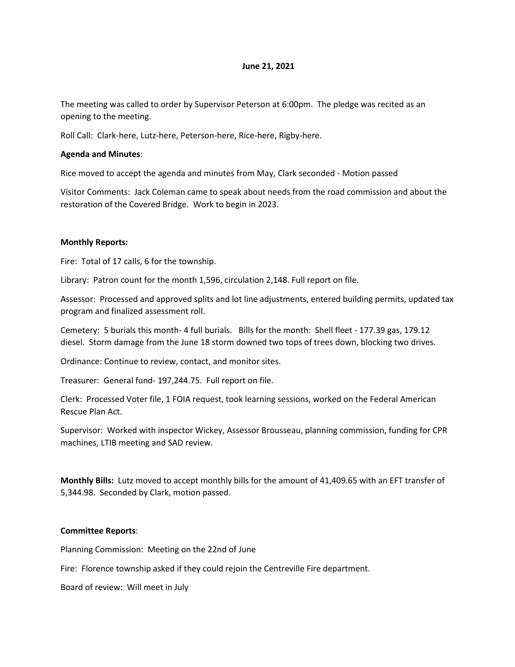## **June 21, 2021**

The meeting was called to order by Supervisor Peterson at 6:00pm. The pledge was recited as an opening to the meeting.

Roll Call: Clark-here, Lutz-here, Peterson-here, Rice-here, Rigby-here.

## **Agenda and Minutes**:

Rice moved to accept the agenda and minutes from May, Clark seconded - Motion passed

Visitor Comments: Jack Coleman came to speak about needs from the road commission and about the restoration of the Covered Bridge. Work to begin in 2023.

### **Monthly Reports:**

Fire: Total of 17 calls, 6 for the township.

Library: Patron count for the month 1,596, circulation 2,148. Full report on file.

Assessor: Processed and approved splits and lot line adjustments, entered building permits, updated tax program and finalized assessment roll.

Cemetery: 5 burials this month- 4 full burials. Bills for the month: Shell fleet - 177.39 gas, 179.12 diesel. Storm damage from the June 18 storm downed two tops of trees down, blocking two drives.

Ordinance: Continue to review, contact, and monitor sites.

Treasurer: General fund- 197,244.75. Full report on file.

Clerk: Processed Voter file, 1 FOIA request, took learning sessions, worked on the Federal American Rescue Plan Act.

Supervisor: Worked with inspector Wickey, Assessor Brousseau, planning commission, funding for CPR machines, LTIB meeting and SAD review.

**Monthly Bills:** Lutz moved to accept monthly bills for the amount of 41,409.65 with an EFT transfer of 5,344.98. Seconded by Clark, motion passed.

#### **Committee Reports**:

Planning Commission: Meeting on the 22nd of June

Fire: Florence township asked if they could rejoin the Centreville Fire department.

Board of review: Will meet in July